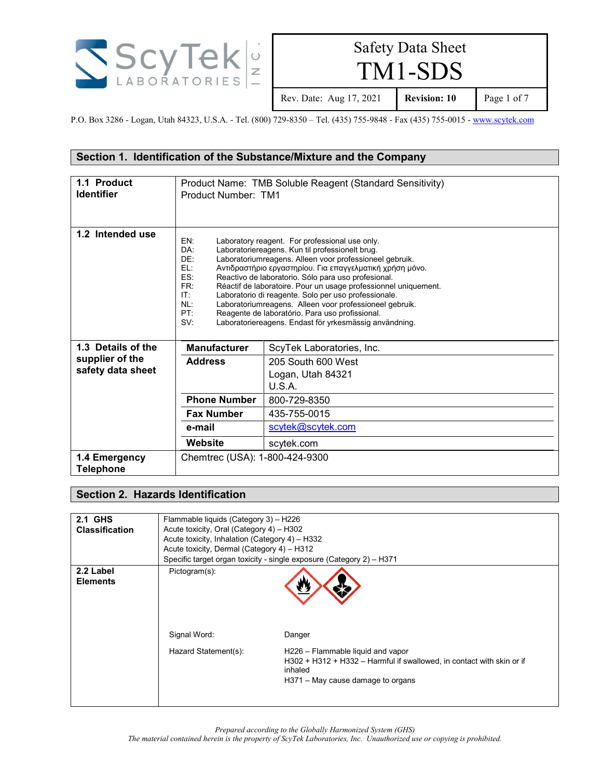

TM1-SDS

Rev. Date: Aug 17, 2021 **Revision: 10** Page 1 of 7

P.O. Box 3286 - Logan, Utah 84323, U.S.A. - Tel. (800) 729-8350 – Tel. (435) 755-9848 - Fax (435) 755-0015 - [www.scytek.com](http://www.scytek.com/)

#### **Section 1. Identification of the Substance/Mixture and the Company**

| 1.1 Product<br><b>Identifier</b><br>1.2 Intended use | Product Number: TM1                                                                                                                                                                                                                                                                                                                                                                                                                                                                                                                                                                                                                                      | Product Name: TMB Soluble Reagent (Standard Sensitivity) |
|------------------------------------------------------|----------------------------------------------------------------------------------------------------------------------------------------------------------------------------------------------------------------------------------------------------------------------------------------------------------------------------------------------------------------------------------------------------------------------------------------------------------------------------------------------------------------------------------------------------------------------------------------------------------------------------------------------------------|----------------------------------------------------------|
|                                                      | EN:<br>Laboratory reagent. For professional use only.<br>DA:<br>Laboratoriereagens. Kun til professionelt brug.<br>DE:<br>Laboratoriumreagens. Alleen voor professioneel gebruik.<br>EL:<br>Αντιδραστήριο εργαστηρίου. Για επαγγελματική χρήση μόνο.<br>ES:<br>Reactivo de laboratorio. Sólo para uso profesional.<br>FR:<br>Réactif de laboratoire. Pour un usage professionnel uniquement.<br>IT:<br>Laboratorio di reagente. Solo per uso professionale.<br>Laboratoriumreagens. Alleen voor professioneel gebruik.<br>NL:<br>PT:<br>Reagente de laboratório. Para uso profissional.<br>SV:<br>Laboratoriereagens. Endast för yrkesmässig användning. |                                                          |
| 1.3 Details of the                                   | <b>Manufacturer</b>                                                                                                                                                                                                                                                                                                                                                                                                                                                                                                                                                                                                                                      | ScyTek Laboratories, Inc.                                |
| supplier of the<br>safety data sheet                 | 205 South 600 West<br><b>Address</b><br>Logan, Utah 84321<br>U.S.A.                                                                                                                                                                                                                                                                                                                                                                                                                                                                                                                                                                                      |                                                          |
|                                                      | <b>Phone Number</b>                                                                                                                                                                                                                                                                                                                                                                                                                                                                                                                                                                                                                                      | 800-729-8350                                             |
|                                                      | <b>Fax Number</b>                                                                                                                                                                                                                                                                                                                                                                                                                                                                                                                                                                                                                                        | 435-755-0015                                             |
|                                                      | e-mail                                                                                                                                                                                                                                                                                                                                                                                                                                                                                                                                                                                                                                                   | scytek@scytek.com                                        |
|                                                      | Website                                                                                                                                                                                                                                                                                                                                                                                                                                                                                                                                                                                                                                                  | scytek.com                                               |
| 1.4 Emergency<br><b>Telephone</b>                    | Chemtrec (USA): 1-800-424-9300                                                                                                                                                                                                                                                                                                                                                                                                                                                                                                                                                                                                                           |                                                          |

#### **Section 2. Hazards Identification**

| <b>2.1 GHS</b>               | Flammable liquids (Category 3) - H226                 |                                                                                                                       |
|------------------------------|-------------------------------------------------------|-----------------------------------------------------------------------------------------------------------------------|
| <b>Classification</b>        | Acute toxicity, Oral (Category 4) - H302              |                                                                                                                       |
|                              | Acute toxicity, Inhalation (Category 4) - H332        |                                                                                                                       |
|                              | Acute toxicity, Dermal (Category 4) - H312            |                                                                                                                       |
|                              |                                                       | Specific target organ toxicity - single exposure (Category 2) - H371                                                  |
| 2.2 Label<br><b>Elements</b> | Pictogram(s):<br>Signal Word:<br>Hazard Statement(s): | Danger<br>H226 - Flammable liquid and vapor                                                                           |
|                              |                                                       | H302 + H312 + H332 – Harmful if swallowed, in contact with skin or if<br>inhaled<br>H371 – May cause damage to organs |

*Prepared according to the Globally Harmonized System (GHS)*

*The material contained herein is the property of ScyTek Laboratories, Inc. Unauthorized use or copying is prohibited.*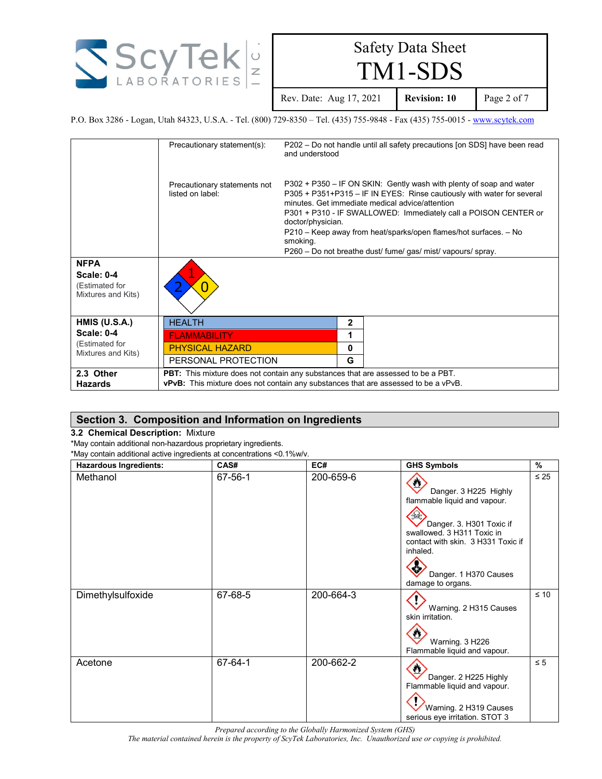

TM1-SDS

Rev. Date: Aug 17, 2021 **Revision: 10** Page 2 of 7

P.O. Box 3286 - Logan, Utah 84323, U.S.A. - Tel. (800) 729-8350 – Tel. (435) 755-9848 - Fax (435) 755-0015 - [www.scytek.com](http://www.scytek.com/)

|                                                                          | Precautionary statement(s):                                                               | and understood                | P202 – Do not handle until all safety precautions [on SDS] have been read                                                                                                                                                                                                                                                                                                                               |
|--------------------------------------------------------------------------|-------------------------------------------------------------------------------------------|-------------------------------|---------------------------------------------------------------------------------------------------------------------------------------------------------------------------------------------------------------------------------------------------------------------------------------------------------------------------------------------------------------------------------------------------------|
|                                                                          | Precautionary statements not<br>listed on label:                                          | doctor/physician.<br>smoking. | P302 + P350 – IF ON SKIN: Gently wash with plenty of soap and water<br>P305 + P351+P315 - IF IN EYES: Rinse cautiously with water for several<br>minutes. Get immediate medical advice/attention<br>P301 + P310 - IF SWALLOWED: Immediately call a POISON CENTER or<br>P210 – Keep away from heat/sparks/open flames/hot surfaces. – No<br>P260 – Do not breathe dust/ fume/ gas/ mist/ vapours/ spray. |
| <b>NFPA</b><br><b>Scale: 0-4</b><br>(Estimated for<br>Mixtures and Kits) |                                                                                           |                               |                                                                                                                                                                                                                                                                                                                                                                                                         |
| HMIS (U.S.A.)                                                            | <b>HEALTH</b>                                                                             | $\overline{2}$                |                                                                                                                                                                                                                                                                                                                                                                                                         |
| <b>Scale: 0-4</b>                                                        | <b>FLAMMABILITY</b>                                                                       | 1                             |                                                                                                                                                                                                                                                                                                                                                                                                         |
| (Estimated for<br>Mixtures and Kits)                                     | <b>PHYSICAL HAZARD</b>                                                                    | $\mathbf{0}$                  |                                                                                                                                                                                                                                                                                                                                                                                                         |
|                                                                          | PERSONAL PROTECTION                                                                       | G                             |                                                                                                                                                                                                                                                                                                                                                                                                         |
| 2.3 Other                                                                | <b>PBT:</b> This mixture does not contain any substances that are assessed to be a PBT.   |                               |                                                                                                                                                                                                                                                                                                                                                                                                         |
| <b>Hazards</b>                                                           | <b>vPvB:</b> This mixture does not contain any substances that are assessed to be a vPvB. |                               |                                                                                                                                                                                                                                                                                                                                                                                                         |

#### **Section 3. Composition and Information on Ingredients**

#### **3.2 Chemical Description:** Mixture

\*May contain additional non-hazardous proprietary ingredients.

\*May contain additional active ingredients at concentrations <0.1%w/v.

| <b>Hazardous Ingredients:</b> | CAS#    | EC#       | <b>GHS Symbols</b>                                                                                                                                                                                                   | $\frac{9}{6}$ |
|-------------------------------|---------|-----------|----------------------------------------------------------------------------------------------------------------------------------------------------------------------------------------------------------------------|---------------|
| Methanol                      | 67-56-1 | 200-659-6 | w<br>Danger. 3 H225 Highly<br>flammable liquid and vapour.<br>Danger. 3. H301 Toxic if<br>swallowed. 3 H311 Toxic in<br>contact with skin. 3 H331 Toxic if<br>inhaled.<br>Danger. 1 H370 Causes<br>damage to organs. | $\leq 25$     |
| Dimethylsulfoxide             | 67-68-5 | 200-664-3 | Warning. 2 H315 Causes<br>skin irritation.<br>Warning. 3 H226<br>Flammable liquid and vapour.                                                                                                                        | $\leq 10$     |
| Acetone                       | 67-64-1 | 200-662-2 | Danger. 2 H225 Highly<br>Flammable liquid and vapour.<br>Warning. 2 H319 Causes<br>serious eye irritation. STOT 3                                                                                                    | $\leq 5$      |

*Prepared according to the Globally Harmonized System (GHS)*

*The material contained herein is the property of ScyTek Laboratories, Inc. Unauthorized use or copying is prohibited.*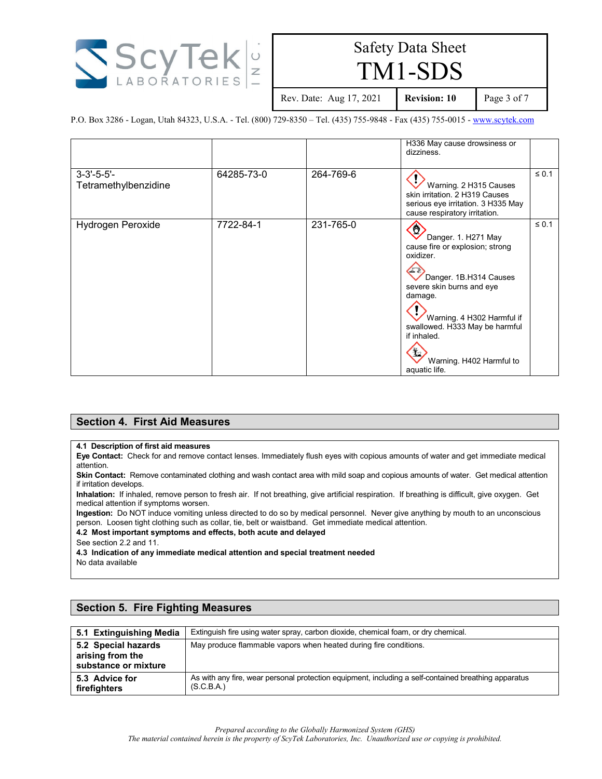

TM1-SDS

Rev. Date: Aug 17, 2021 **Revision: 10** Page 3 of 7

P.O. Box 3286 - Logan, Utah 84323, U.S.A. - Tel. (800) 729-8350 – Tel. (435) 755-9848 - Fax (435) 755-0015 - [www.scytek.com](http://www.scytek.com/)

|                                             |            |           | H336 May cause drowsiness or<br>dizziness.                                                                                                                                                                                                                             |            |
|---------------------------------------------|------------|-----------|------------------------------------------------------------------------------------------------------------------------------------------------------------------------------------------------------------------------------------------------------------------------|------------|
| $3 - 3' - 5 - 5' -$<br>Tetramethylbenzidine | 64285-73-0 | 264-769-6 | Warning. 2 H315 Causes<br>skin irritation. 2 H319 Causes<br>serious eye irritation. 3 H335 May<br>cause respiratory irritation.                                                                                                                                        | $\leq 0.1$ |
| Hydrogen Peroxide                           | 7722-84-1  | 231-765-0 | ♦<br>Danger. 1. H271 May<br>cause fire or explosion; strong<br>oxidizer.<br>Danger. 1B.H314 Causes<br>severe skin burns and eye<br>damage.<br>Warning. 4 H302 Harmful if<br>swallowed. H333 May be harmful<br>if inhaled.<br>Warning. H402 Harmful to<br>aquatic life. | $\leq 0.1$ |

#### **Section 4. First Aid Measures**

#### **4.1 Description of first aid measures**

**Eye Contact:** Check for and remove contact lenses. Immediately flush eyes with copious amounts of water and get immediate medical attention.

**Skin Contact:** Remove contaminated clothing and wash contact area with mild soap and copious amounts of water. Get medical attention if irritation develops.

**Inhalation:** If inhaled, remove person to fresh air. If not breathing, give artificial respiration. If breathing is difficult, give oxygen. Get medical attention if symptoms worsen.

**Ingestion:** Do NOT induce vomiting unless directed to do so by medical personnel. Never give anything by mouth to an unconscious person. Loosen tight clothing such as collar, tie, belt or waistband. Get immediate medical attention.

**4.2 Most important symptoms and effects, both acute and delayed**

See section 2.2 and 11.

**4.3 Indication of any immediate medical attention and special treatment needed** No data available

| 5.1 Extinguishing Media                                         | Extinguish fire using water spray, carbon dioxide, chemical foam, or dry chemical.                                 |
|-----------------------------------------------------------------|--------------------------------------------------------------------------------------------------------------------|
| 5.2 Special hazards<br>arising from the<br>substance or mixture | May produce flammable vapors when heated during fire conditions.                                                   |
| 5.3 Advice for<br>firefighters                                  | As with any fire, wear personal protection equipment, including a self-contained breathing apparatus<br>(S.C.B.A.) |

#### **Section 5. Fire Fighting Measures**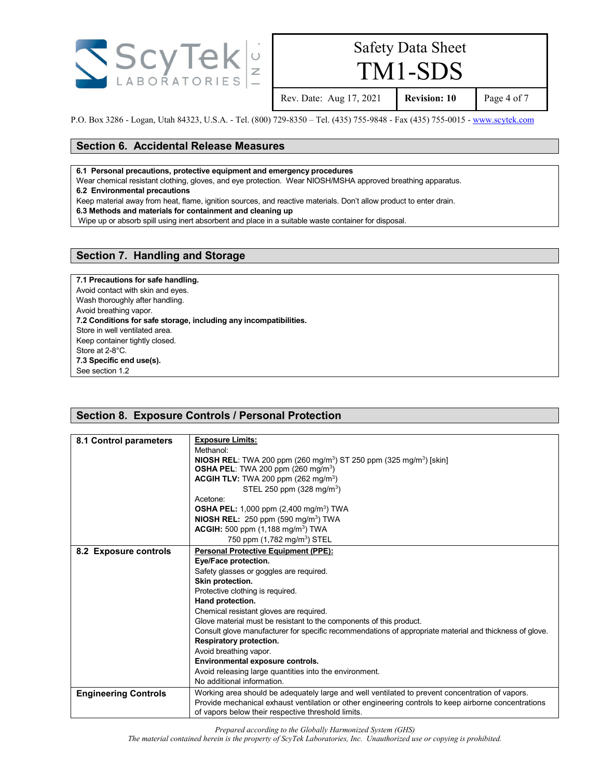

TM1-SDS

Rev. Date: Aug 17, 2021 **Revision: 10** Page 4 of 7

P.O. Box 3286 - Logan, Utah 84323, U.S.A. - Tel. (800) 729-8350 – Tel. (435) 755-9848 - Fax (435) 755-0015 - [www.scytek.com](http://www.scytek.com/)

#### **Section 6. Accidental Release Measures**

**6.1 Personal precautions, protective equipment and emergency procedures**

Wear chemical resistant clothing, gloves, and eye protection. Wear NIOSH/MSHA approved breathing apparatus.

**6.2 Environmental precautions**

Keep material away from heat, flame, ignition sources, and reactive materials. Don't allow product to enter drain.

**6.3 Methods and materials for containment and cleaning up**

Wipe up or absorb spill using inert absorbent and place in a suitable waste container for disposal.

#### **Section 7. Handling and Storage**

**7.1 Precautions for safe handling.** Avoid contact with skin and eyes. Wash thoroughly after handling. Avoid breathing vapor. **7.2 Conditions for safe storage, including any incompatibilities.** Store in well ventilated area. Keep container tightly closed. Store at 2-8°C. **7.3 Specific end use(s).** See section 1.2

#### **Section 8. Exposure Controls / Personal Protection**

| 8.1 Control parameters      | <b>Exposure Limits:</b><br>Methanol:<br><b>NIOSH REL:</b> TWA 200 ppm (260 mg/m <sup>3</sup> ) ST 250 ppm (325 mg/m <sup>3</sup> ) [skin]<br><b>OSHA PEL:</b> TWA 200 ppm $(260 \text{ mg/m}^3)$<br><b>ACGIH TLV:</b> TWA 200 ppm $(262 \text{ mg/m}^3)$<br>STEL 250 ppm (328 mg/m <sup>3</sup> )<br>Acetone: |
|-----------------------------|---------------------------------------------------------------------------------------------------------------------------------------------------------------------------------------------------------------------------------------------------------------------------------------------------------------|
|                             | <b>OSHA PEL:</b> 1,000 ppm $(2,400 \text{ mg/m}^3)$ TWA                                                                                                                                                                                                                                                       |
|                             | <b>NIOSH REL:</b> 250 ppm $(590 \text{ mg/m}^3)$ TWA<br><b>ACGIH:</b> 500 ppm $(1,188 \text{ mg/m}^3)$ TWA                                                                                                                                                                                                    |
|                             | 750 ppm (1,782 mg/m <sup>3</sup> ) STEL                                                                                                                                                                                                                                                                       |
| 8.2 Exposure controls       | <b>Personal Protective Equipment (PPE):</b>                                                                                                                                                                                                                                                                   |
|                             | Eye/Face protection.                                                                                                                                                                                                                                                                                          |
|                             | Safety glasses or goggles are required.                                                                                                                                                                                                                                                                       |
|                             | Skin protection.                                                                                                                                                                                                                                                                                              |
|                             | Protective clothing is required.                                                                                                                                                                                                                                                                              |
|                             | Hand protection.                                                                                                                                                                                                                                                                                              |
|                             | Chemical resistant gloves are required.                                                                                                                                                                                                                                                                       |
|                             | Glove material must be resistant to the components of this product.                                                                                                                                                                                                                                           |
|                             | Consult glove manufacturer for specific recommendations of appropriate material and thickness of glove.                                                                                                                                                                                                       |
|                             | Respiratory protection.                                                                                                                                                                                                                                                                                       |
|                             | Avoid breathing vapor.                                                                                                                                                                                                                                                                                        |
|                             | Environmental exposure controls.                                                                                                                                                                                                                                                                              |
|                             | Avoid releasing large quantities into the environment.                                                                                                                                                                                                                                                        |
|                             | No additional information.                                                                                                                                                                                                                                                                                    |
| <b>Engineering Controls</b> | Working area should be adequately large and well ventilated to prevent concentration of vapors.                                                                                                                                                                                                               |
|                             | Provide mechanical exhaust ventilation or other engineering controls to keep airborne concentrations<br>of vapors below their respective threshold limits.                                                                                                                                                    |

*Prepared according to the Globally Harmonized System (GHS) The material contained herein is the property of ScyTek Laboratories, Inc. Unauthorized use or copying is prohibited.*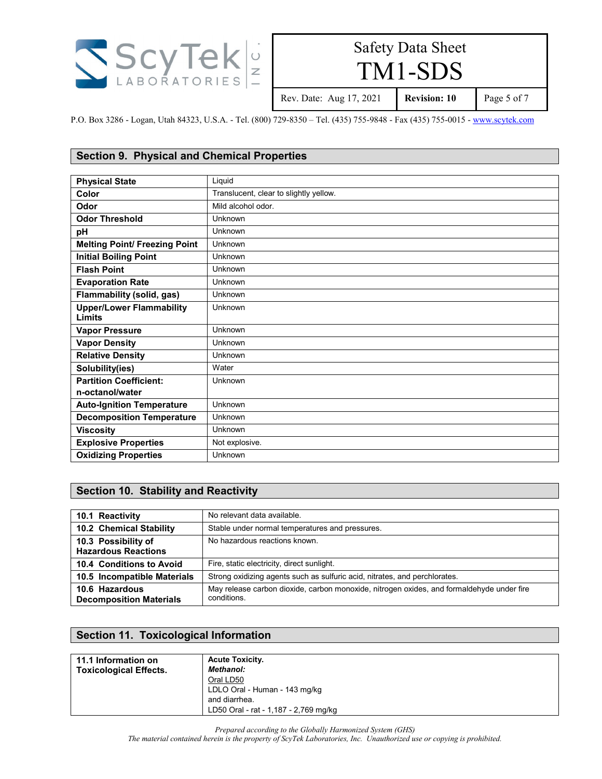

TM1-SDS

Rev. Date: Aug 17, 2021 **Revision: 10** Page 5 of 7

P.O. Box 3286 - Logan, Utah 84323, U.S.A. - Tel. (800) 729-8350 – Tel. (435) 755-9848 - Fax (435) 755-0015 - [www.scytek.com](http://www.scytek.com/)

#### **Section 9. Physical and Chemical Properties**

| <b>Physical State</b>                            | Liquid                                 |
|--------------------------------------------------|----------------------------------------|
| Color                                            | Translucent, clear to slightly yellow. |
| Odor                                             | Mild alcohol odor.                     |
| <b>Odor Threshold</b>                            | Unknown                                |
| pH                                               | Unknown                                |
| <b>Melting Point/ Freezing Point</b>             | Unknown                                |
| <b>Initial Boiling Point</b>                     | Unknown                                |
| <b>Flash Point</b>                               | Unknown                                |
| <b>Evaporation Rate</b>                          | Unknown                                |
| Flammability (solid, gas)                        | Unknown                                |
| <b>Upper/Lower Flammability</b><br><b>Limits</b> | Unknown                                |
| <b>Vapor Pressure</b>                            | Unknown                                |
| <b>Vapor Density</b>                             | Unknown                                |
| <b>Relative Density</b>                          | Unknown                                |
| Solubility(ies)                                  | Water                                  |
| <b>Partition Coefficient:</b>                    | Unknown                                |
| n-octanol/water                                  |                                        |
| <b>Auto-Ignition Temperature</b>                 | Unknown                                |
| <b>Decomposition Temperature</b>                 | Unknown                                |
| <b>Viscosity</b>                                 | Unknown                                |
| <b>Explosive Properties</b>                      | Not explosive.                         |
| <b>Oxidizing Properties</b>                      | Unknown                                |

#### **Section 10. Stability and Reactivity**

| 10.1 Reactivity                                   | No relevant data available.                                                                             |
|---------------------------------------------------|---------------------------------------------------------------------------------------------------------|
| 10.2 Chemical Stability                           | Stable under normal temperatures and pressures.                                                         |
| 10.3 Possibility of<br><b>Hazardous Reactions</b> | No hazardous reactions known.                                                                           |
| 10.4 Conditions to Avoid                          | Fire, static electricity, direct sunlight.                                                              |
| 10.5 Incompatible Materials                       | Strong oxidizing agents such as sulfuric acid, nitrates, and perchlorates.                              |
| 10.6 Hazardous<br><b>Decomposition Materials</b>  | May release carbon dioxide, carbon monoxide, nitrogen oxides, and formaldehyde under fire<br>conditions |

### **Section 11. Toxicological Information**

| 11.1 Information on<br><b>Toxicological Effects.</b> | <b>Acute Toxicity.</b><br><b>Methanol:</b><br>Oral LD50                                 |
|------------------------------------------------------|-----------------------------------------------------------------------------------------|
|                                                      | LDLO Oral - Human - 143 mg/kg<br>and diarrhea.<br>LD50 Oral - rat - 1,187 - 2,769 mg/kg |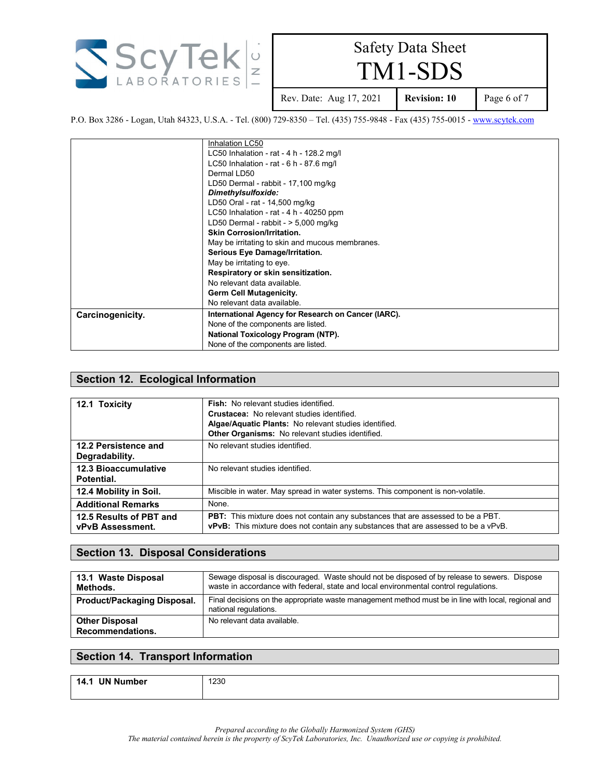

TM1-SDS

Rev. Date: Aug 17, 2021 **Revision: 10** Page 6 of 7

P.O. Box 3286 - Logan, Utah 84323, U.S.A. - Tel. (800) 729-8350 – Tel. (435) 755-9848 - Fax (435) 755-0015 - [www.scytek.com](http://www.scytek.com/)

|                  | Inhalation LC50                                     |  |
|------------------|-----------------------------------------------------|--|
|                  | LC50 Inhalation - rat - 4 h - 128.2 mg/l            |  |
|                  | LC50 Inhalation - rat - $6 h - 87.6 mg/l$           |  |
|                  | Dermal LD50                                         |  |
|                  | LD50 Dermal - rabbit - 17,100 mg/kg                 |  |
|                  | Dimethylsulfoxide:                                  |  |
|                  | LD50 Oral - rat - 14,500 mg/kg                      |  |
|                  | LC50 Inhalation - rat - 4 h - 40250 ppm             |  |
|                  | LD50 Dermal - rabbit - $>$ 5,000 mg/kg              |  |
|                  | <b>Skin Corrosion/Irritation.</b>                   |  |
|                  | May be irritating to skin and mucous membranes.     |  |
|                  | Serious Eye Damage/Irritation.                      |  |
|                  | May be irritating to eye.                           |  |
|                  | Respiratory or skin sensitization.                  |  |
|                  | No relevant data available.                         |  |
|                  | <b>Germ Cell Mutagenicity.</b>                      |  |
|                  | No relevant data available.                         |  |
| Carcinogenicity. | International Agency for Research on Cancer (IARC). |  |
|                  | None of the components are listed.                  |  |
|                  | National Toxicology Program (NTP).                  |  |
|                  | None of the components are listed.                  |  |

#### **Section 12. Ecological Information**

| 12.1 Toxicity                                      | <b>Fish:</b> No relevant studies identified.<br><b>Crustacea:</b> No relevant studies identified.<br>Algae/Aquatic Plants: No relevant studies identified.<br>Other Organisms: No relevant studies identified. |
|----------------------------------------------------|----------------------------------------------------------------------------------------------------------------------------------------------------------------------------------------------------------------|
| 12.2 Persistence and<br>Degradability.             | No relevant studies identified.                                                                                                                                                                                |
| <b>12.3 Bioaccumulative</b><br>Potential.          | No relevant studies identified.                                                                                                                                                                                |
| 12.4 Mobility in Soil.                             | Miscible in water. May spread in water systems. This component is non-volatile.                                                                                                                                |
| <b>Additional Remarks</b>                          | None.                                                                                                                                                                                                          |
| 12.5 Results of PBT and<br><b>vPvB Assessment.</b> | PBT: This mixture does not contain any substances that are assessed to be a PBT.<br><b>vPvB:</b> This mixture does not contain any substances that are assessed to be a vPvB.                                  |

#### **Section 13. Disposal Considerations**

| 13.1 Waste Disposal<br>Methods.           | Sewage disposal is discouraged. Waste should not be disposed of by release to sewers. Dispose<br>waste in accordance with federal, state and local environmental control regulations. |
|-------------------------------------------|---------------------------------------------------------------------------------------------------------------------------------------------------------------------------------------|
| Product/Packaging Disposal.               | Final decisions on the appropriate waste management method must be in line with local, regional and<br>national regulations.                                                          |
| <b>Other Disposal</b><br>Recommendations. | No relevant data available.                                                                                                                                                           |

#### **Section 14. Transport Information**

**14.1 UN Number** 1230